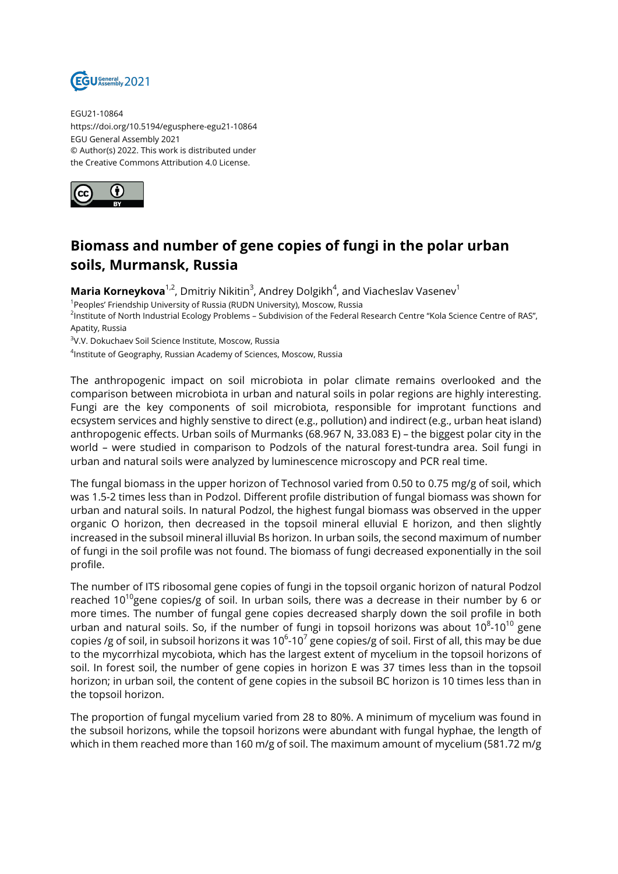

EGU21-10864 https://doi.org/10.5194/egusphere-egu21-10864 EGU General Assembly 2021 © Author(s) 2022. This work is distributed under the Creative Commons Attribution 4.0 License.



## **Biomass and number of gene copies of fungi in the polar urban soils, Murmansk, Russia**

**Maria Korneykova**<sup>1,2</sup>, Dmitriy Nikitin<sup>3</sup>, Andrey Dolgikh<sup>4</sup>, and Viacheslav Vasenev<sup>1</sup>

<sup>1</sup>Peoples' Friendship University of Russia (RUDN University), Moscow, Russia

<sup>2</sup>lnstitute of North Industrial Ecology Problems – Subdivision of the Federal Research Centre "Kola Science Centre of RAS", Apatity, Russia

3 V.V. Dokuchaev Soil Science Institute, Moscow, Russia

4 Institute of Geography, Russian Academy of Sciences, Moscow, Russia

The anthropogenic impact on soil microbiota in polar climate remains overlooked and the comparison between microbiota in urban and natural soils in polar regions are highly interesting. Fungi are the key components of soil microbiota, responsible for improtant functions and ecsystem services and highly senstive to direct (e.g., pollution) and indirect (e.g., urban heat island) anthropogenic effects. Urban soils of Murmanks (68.967 N, 33.083 E) – the biggest polar city in the world – were studied in comparison to Podzols of the natural forest-tundra area. Soil fungi in urban and natural soils were analyzed by luminescence microscopy and PCR real time.

The fungal biomass in the upper horizon of Technosol varied from 0.50 to 0.75 mg/g of soil, which was 1.5-2 times less than in Podzol. Different profile distribution of fungal biomass was shown for urban and natural soils. In natural Podzol, the highest fungal biomass was observed in the upper organic O horizon, then decreased in the topsoil mineral elluvial E horizon, and then slightly increased in the subsoil mineral illuvial Bs horizon. In urban soils, the second maximum of number of fungi in the soil profile was not found. The biomass of fungi decreased exponentially in the soil profile.

The number of ITS ribosomal gene copies of fungi in the topsoil organic horizon of natural Podzol reached 10<sup>10</sup>gene copies/g of soil. In urban soils, there was a decrease in their number by 6 or more times. The number of fungal gene copies decreased sharply down the soil profile in both urban and natural soils. So, if the number of fungi in topsoil horizons was about 10 $^{\rm 8}$ -10 $^{\rm 10}$  gene copies /g of soil, in subsoil horizons it was 10 $^6$ -10 $^7$  gene copies/g of soil. First of all, this may be due to the mycorrhizal mycobiota, which has the largest extent of mycelium in the topsoil horizons of soil. In forest soil, the number of gene copies in horizon E was 37 times less than in the topsoil horizon; in urban soil, the content of gene copies in the subsoil BC horizon is 10 times less than in the topsoil horizon.

The proportion of fungal mycelium varied from 28 to 80%. A minimum of mycelium was found in the subsoil horizons, while the topsoil horizons were abundant with fungal hyphae, the length of which in them reached more than 160 m/g of soil. The maximum amount of mycelium (581.72 m/g